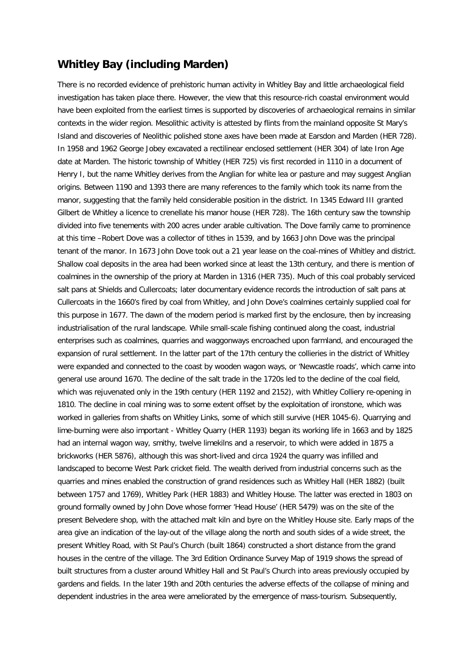## **Whitley Bay (including Marden)**

There is no recorded evidence of prehistoric human activity in Whitley Bay and little archaeological field investigation has taken place there. However, the view that this resource-rich coastal environment would have been exploited from the earliest times is supported by discoveries of archaeological remains in similar contexts in the wider region. Mesolithic activity is attested by flints from the mainland opposite St Mary's Island and discoveries of Neolithic polished stone axes have been made at Earsdon and Marden (HER 728). In 1958 and 1962 George Jobey excavated a rectilinear enclosed settlement (HER 304) of late Iron Age date at Marden. The historic township of Whitley (HER 725) vis first recorded in 1110 in a document of Henry I, but the name Whitley derives from the Anglian for white lea or pasture and may suggest Anglian origins. Between 1190 and 1393 there are many references to the family which took its name from the manor, suggesting that the family held considerable position in the district. In 1345 Edward III granted Gilbert de Whitley a licence to crenellate his manor house (HER 728). The 16th century saw the township divided into five tenements with 200 acres under arable cultivation. The Dove family came to prominence at this time –Robert Dove was a collector of tithes in 1539, and by 1663 John Dove was the principal tenant of the manor. In 1673 John Dove took out a 21 year lease on the coal-mines of Whitley and district. Shallow coal deposits in the area had been worked since at least the 13th century, and there is mention of coalmines in the ownership of the priory at Marden in 1316 (HER 735). Much of this coal probably serviced salt pans at Shields and Cullercoats; later documentary evidence records the introduction of salt pans at Cullercoats in the 1660's fired by coal from Whitley, and John Dove's coalmines certainly supplied coal for this purpose in 1677. The dawn of the modern period is marked first by the enclosure, then by increasing industrialisation of the rural landscape. While small-scale fishing continued along the coast, industrial enterprises such as coalmines, quarries and waggonways encroached upon farmland, and encouraged the expansion of rural settlement. In the latter part of the 17th century the collieries in the district of Whitley were expanded and connected to the coast by wooden wagon ways, or 'Newcastle roads', which came into general use around 1670. The decline of the salt trade in the 1720s led to the decline of the coal field, which was rejuvenated only in the 19th century (HER 1192 and 2152), with Whitley Colliery re-opening in 1810. The decline in coal mining was to some extent offset by the exploitation of ironstone, which was worked in galleries from shafts on Whitley Links, some of which still survive (HER 1045-6). Quarrying and lime-burning were also important - Whitley Quarry (HER 1193) began its working life in 1663 and by 1825 had an internal wagon way, smithy, twelve limekilns and a reservoir, to which were added in 1875 a brickworks (HER 5876), although this was short-lived and circa 1924 the quarry was infilled and landscaped to become West Park cricket field. The wealth derived from industrial concerns such as the quarries and mines enabled the construction of grand residences such as Whitley Hall (HER 1882) (built between 1757 and 1769), Whitley Park (HER 1883) and Whitley House. The latter was erected in 1803 on ground formally owned by John Dove whose former 'Head House' (HER 5479) was on the site of the present Belvedere shop, with the attached malt kiln and byre on the Whitley House site. Early maps of the area give an indication of the lay-out of the village along the north and south sides of a wide street, the present Whitley Road, with St Paul's Church (built 1864) constructed a short distance from the grand houses in the centre of the village. The 3rd Edition Ordinance Survey Map of 1919 shows the spread of built structures from a cluster around Whitley Hall and St Paul's Church into areas previously occupied by gardens and fields. In the later 19th and 20th centuries the adverse effects of the collapse of mining and dependent industries in the area were ameliorated by the emergence of mass-tourism. Subsequently,